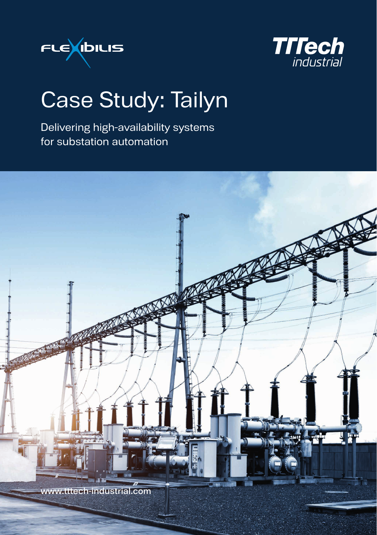



## Case Study: Tailyn

Delivering high-availability systems for substation automation